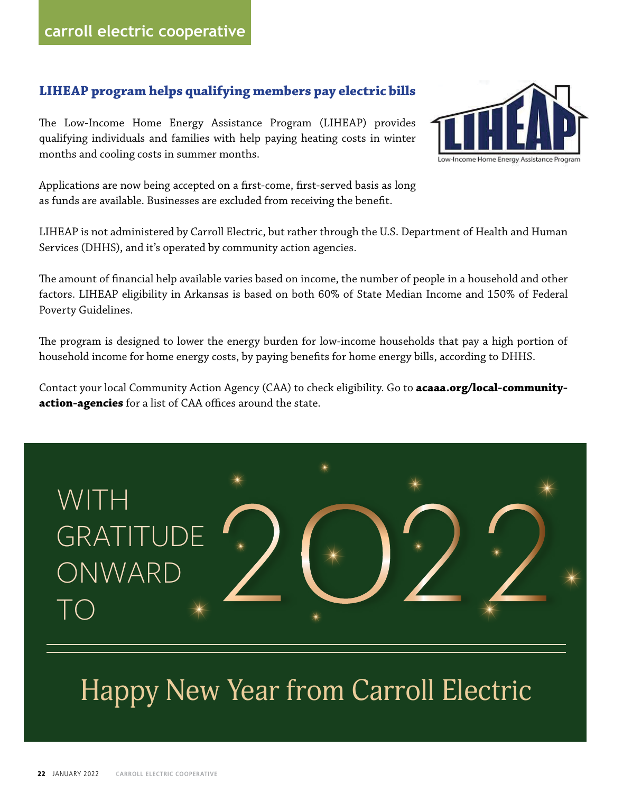#### **LIHEAP program helps qualifying members pay electric bills**

The Low-Income Home Energy Assistance Program (LIHEAP) provides qualifying individuals and families with help paying heating costs in winter months and cooling costs in summer months.



LIHEAP is not administered by Carroll Electric, but rather through the U.S. Department of Health and Human Services (DHHS), and it's operated by community action agencies.

The amount of financial help available varies based on income, the number of people in a household and other factors. LIHEAP eligibility in Arkansas is based on both 60% of State Median Income and 150% of Federal Poverty Guidelines.

The program is designed to lower the energy burden for low-income households that pay a high portion of household income for home energy costs, by paying benefits for home energy bills, according to DHHS.

Contact your local Community Action Agency (CAA) to check eligibility. Go to **acaaa.org/local-communityaction-agencies** for a list of CAA offices around the state.



#### Happy New Year from Carroll Electric